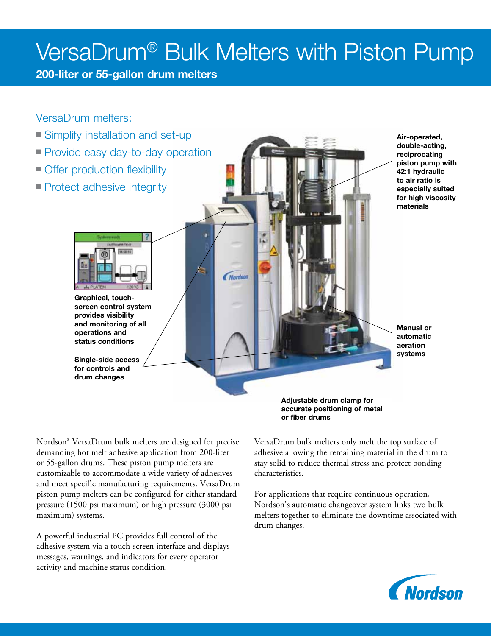# VersaDrum® Bulk Melters with Piston Pump

Nordson

200-liter or 55-gallon drum melters

VersaDrum melters:

- **Simplify installation and set-up**
- **Provide easy day-to-day operation**
- Offer production flexibility
- **Protect adhesive integrity**

Graphical, touchscreen control system provides visibility and monitoring of all operations and status conditions

Single-side access for controls and drum changes

Air-operated, double-acting, reciprocating piston pump with 42:1 hydraulic to air ratio is especially suited for high viscosity materials

Manual or automatic aeration systems

Adjustable drum clamp for accurate positioning of metal or fiber drums

Nordson® VersaDrum bulk melters are designed for precise demanding hot melt adhesive application from 200-liter or 55-gallon drums. These piston pump melters are customizable to accommodate a wide variety of adhesives and meet specific manufacturing requirements. VersaDrum piston pump melters can be configured for either standard pressure (1500 psi maximum) or high pressure (3000 psi maximum) systems.

A powerful industrial PC provides full control of the adhesive system via a touch-screen interface and displays messages, warnings, and indicators for every operator activity and machine status condition.

VersaDrum bulk melters only melt the top surface of adhesive allowing the remaining material in the drum to stay solid to reduce thermal stress and protect bonding characteristics.

For applications that require continuous operation, Nordson's automatic changeover system links two bulk melters together to eliminate the downtime associated with drum changes.